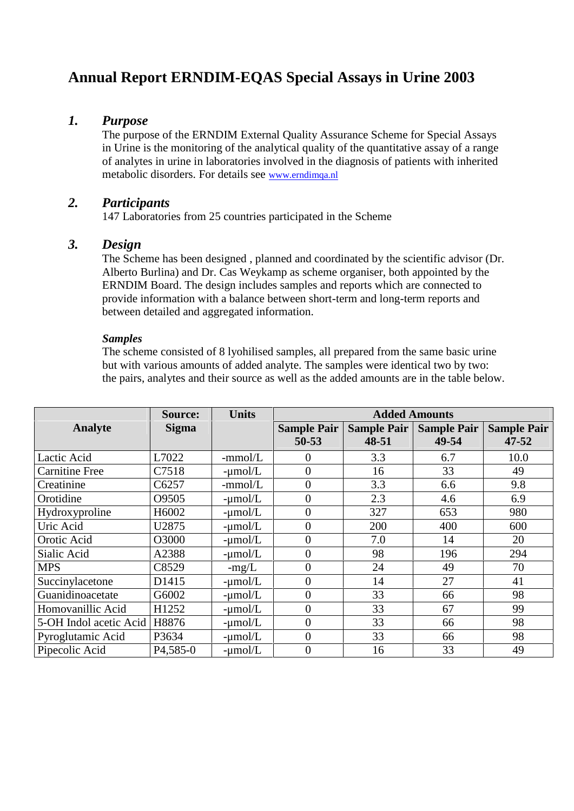# **Annual Report ERNDIM-EQAS Special Assays in Urine 2003**

### *1. Purpose*

The purpose of the ERNDIM External Quality Assurance Scheme for Special Assays in Urine is the monitoring of the analytical quality of the quantitative assay of a range of analytes in urine in laboratories involved in the diagnosis of patients with inherited metabolic disorders. For details see www.erndimqa.nl

# *2. Participants*

147 Laboratories from 25 countries participated in the Scheme

### *3. Design*

The Scheme has been designed , planned and coordinated by the scientific advisor (Dr. Alberto Burlina) and Dr. Cas Weykamp as scheme organiser, both appointed by the ERNDIM Board. The design includes samples and reports which are connected to provide information with a balance between short-term and long-term reports and between detailed and aggregated information.

#### *Samples*

The scheme consisted of 8 lyohilised samples, all prepared from the same basic urine but with various amounts of added analyte. The samples were identical two by two: the pairs, analytes and their source as well as the added amounts are in the table below.

|                        | <b>Source:</b>         | <b>Units</b> | <b>Added Amounts</b>            |                             |                             |                                 |
|------------------------|------------------------|--------------|---------------------------------|-----------------------------|-----------------------------|---------------------------------|
| Analyte                | <b>Sigma</b>           |              | <b>Sample Pair</b><br>$50 - 53$ | <b>Sample Pair</b><br>48-51 | <b>Sample Pair</b><br>49-54 | <b>Sample Pair</b><br>$47 - 52$ |
| Lactic Acid            | L7022                  | $-mmol/L$    | 0                               | 3.3                         | 6.7                         | 10.0                            |
| <b>Carnitine Free</b>  | C7518                  | $-\mu$ mol/L | $\overline{0}$                  | 16                          | 33                          | 49                              |
| Creatinine             | C6257                  | $-mmol/L$    | $\overline{0}$                  | 3.3                         | 6.6                         | 9.8                             |
| Orotidine              | O9505                  | $-\mu$ mol/L | 0                               | 2.3                         | 4.6                         | 6.9                             |
| Hydroxyproline         | H6002                  | $-\mu$ mol/L | $\overline{0}$                  | 327                         | 653                         | 980                             |
| Uric Acid              | U2875                  | $-\mu$ mol/L | 0                               | 200                         | 400                         | 600                             |
| Orotic Acid            | O3000                  | $-\mu$ mol/L | $\overline{0}$                  | 7.0                         | 14                          | 20                              |
| Sialic Acid            | A2388                  | $-\mu$ mol/L | $\overline{0}$                  | 98                          | 196                         | 294                             |
| <b>MPS</b>             | C8529                  | $-mg/L$      | $\overline{0}$                  | 24                          | 49                          | 70                              |
| Succinylacetone        | D1415                  | $-\mu$ mol/L | $\theta$                        | 14                          | 27                          | 41                              |
| Guanidinoacetate       | G6002                  | $-\mu$ mol/L | $\overline{0}$                  | 33                          | 66                          | 98                              |
| Homovanillic Acid      | H1252                  | $-\mu$ mol/L | $\overline{0}$                  | 33                          | 67                          | 99                              |
| 5-OH Indol acetic Acid | H8876                  | $-\mu$ mol/L | $\overline{0}$                  | 33                          | 66                          | 98                              |
| Pyroglutamic Acid      | P3634                  | $-\mu$ mol/L | $\overline{0}$                  | 33                          | 66                          | 98                              |
| Pipecolic Acid         | P <sub>4</sub> , 585-0 | $-\mu$ mol/L | $\overline{0}$                  | 16                          | 33                          | 49                              |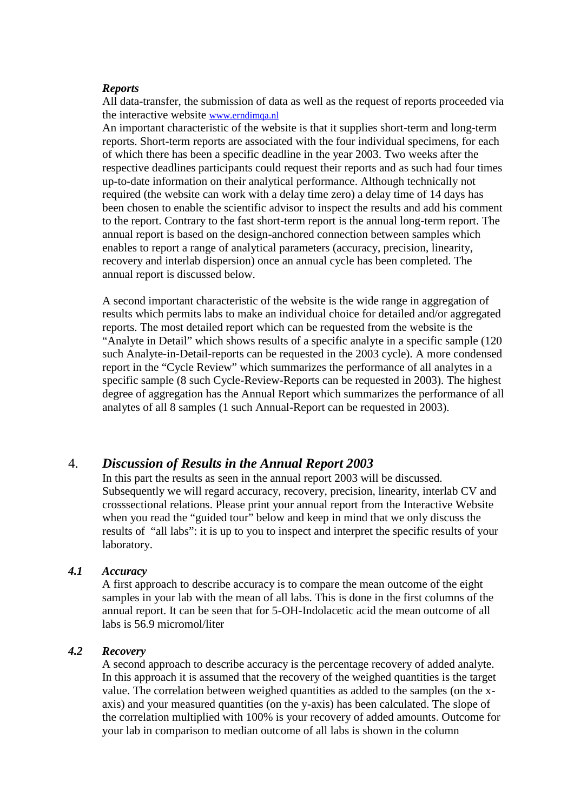#### *Reports*

All data-transfer, the submission of data as well as the request of reports proceeded via the interactive website www.erndimqa.nl

An important characteristic of the website is that it supplies short-term and long-term reports. Short-term reports are associated with the four individual specimens, for each of which there has been a specific deadline in the year 2003. Two weeks after the respective deadlines participants could request their reports and as such had four times up-to-date information on their analytical performance. Although technically not required (the website can work with a delay time zero) a delay time of 14 days has been chosen to enable the scientific advisor to inspect the results and add his comment to the report. Contrary to the fast short-term report is the annual long-term report. The annual report is based on the design-anchored connection between samples which enables to report a range of analytical parameters (accuracy, precision, linearity, recovery and interlab dispersion) once an annual cycle has been completed. The annual report is discussed below.

A second important characteristic of the website is the wide range in aggregation of results which permits labs to make an individual choice for detailed and/or aggregated reports. The most detailed report which can be requested from the website is the "Analyte in Detail" which shows results of a specific analyte in a specific sample (120 such Analyte-in-Detail-reports can be requested in the 2003 cycle). A more condensed report in the "Cycle Review" which summarizes the performance of all analytes in a specific sample (8 such Cycle-Review-Reports can be requested in 2003). The highest degree of aggregation has the Annual Report which summarizes the performance of all analytes of all 8 samples (1 such Annual-Report can be requested in 2003).

### 4. *Discussion of Results in the Annual Report 2003*

In this part the results as seen in the annual report 2003 will be discussed. Subsequently we will regard accuracy, recovery, precision, linearity, interlab CV and crosssectional relations. Please print your annual report from the Interactive Website when you read the "guided tour" below and keep in mind that we only discuss the results of "all labs": it is up to you to inspect and interpret the specific results of your laboratory.

#### *4.1 Accuracy*

A first approach to describe accuracy is to compare the mean outcome of the eight samples in your lab with the mean of all labs. This is done in the first columns of the annual report. It can be seen that for 5-OH-Indolacetic acid the mean outcome of all labs is 56.9 micromol/liter

#### *4.2 Recovery*

A second approach to describe accuracy is the percentage recovery of added analyte. In this approach it is assumed that the recovery of the weighed quantities is the target value. The correlation between weighed quantities as added to the samples (on the x axis) and your measured quantities (on the y-axis) has been calculated. The slope of the correlation multiplied with 100% is your recovery of added amounts. Outcome for your lab in comparison to median outcome of all labs is shown in the column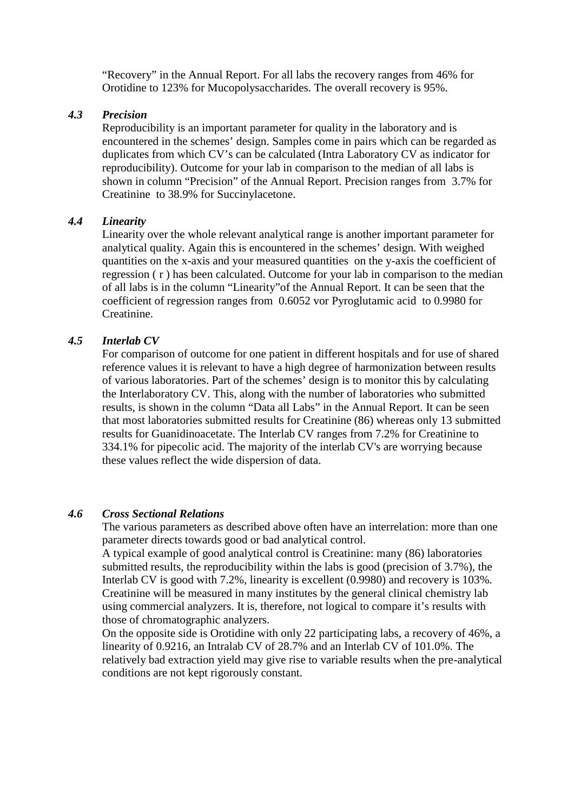"Recovery" in the Annual Report. For all labs the recovery ranges from 46% for Orotidine to 123% for Mucopolysaccharides. The overall recovery is 95%.

#### *4.3 Precision*

Reproducibility is an important parameter for quality in the laboratory and is encountered in the schemes' design. Samples come in pairs which can be regarded as duplicates from which CV's can be calculated (Intra Laboratory CV as indicator for reproducibility). Outcome for your lab in comparison to the median of all labs is shown in column "Precision" of the Annual Report. Precision ranges from 3.7% for Creatinine to 38.9% for Succinylacetone.

#### *4.4 Linearity*

Linearity over the whole relevant analytical range is another important parameter for analytical quality. Again this is encountered in the schemes' design. With weighed quantities on the x-axis and your measured quantities on the y-axis the coefficient of regression ( r ) has been calculated. Outcome for your lab in comparison to the median of all labs is in the column "Linearity"of the Annual Report. It can be seen that the coefficient of regression ranges from 0.6052 vor Pyroglutamic acid to 0.9980 for Creatinine.

#### *4.5 Interlab CV*

For comparison of outcome for one patient in different hospitals and for use of shared reference values it is relevant to have a high degree of harmonization between results of various laboratories. Part of the schemes' design is to monitor this by calculating the Interlaboratory CV. This, along with the number of laboratories who submitted results, is shown in the column "Data all Labs" in the Annual Report. It can be seen that most laboratories submitted results for Creatinine (86) whereas only 13 submitted results for Guanidinoacetate. The Interlab CV ranges from 7.2% for Creatinine to 334.1% for pipecolic acid. The majority of the interlab CV's are worrying because these values reflect the wide dispersion of data.

#### *4.6 Cross Sectional Relations*

The various parameters as described above often have an interrelation: more than one parameter directs towards good or bad analytical control.

A typical example of good analytical control is Creatinine: many (86) laboratories submitted results, the reproducibility within the labs is good (precision of 3.7%), the Interlab CV is good with 7.2%, linearity is excellent (0.9980) and recovery is 103%. Creatinine will be measured in many institutes by the general clinical chemistry lab using commercial analyzers. It is, therefore, not logical to compare it's results with those of chromatographic analyzers.

On the opposite side is Orotidine with only 22 participating labs, a recovery of 46%, a linearity of 0.9216, an Intralab CV of 28.7% and an Interlab CV of 101.0%. The relatively bad extraction yield may give rise to variable results when the pre-analytical conditions are not kept rigorously constant.